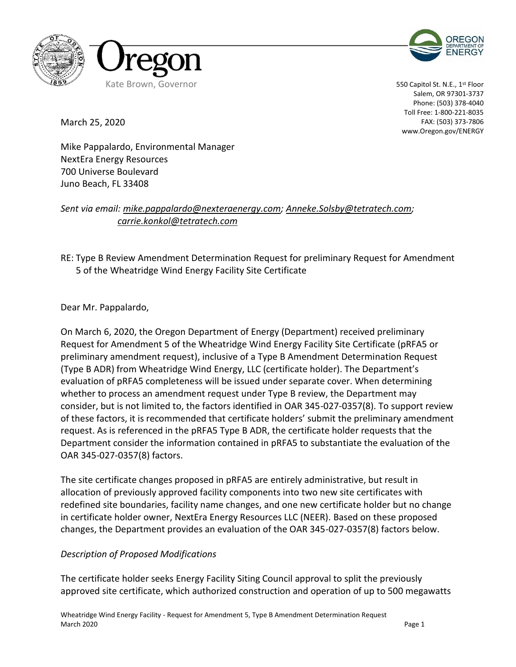



550 Capitol St. N.E., 1<sup>st</sup> Floor Salem, OR 97301-3737 Phone: (503) 378-4040 Toll Free: 1-800-221-8035 FAX: (503) 373-7806 www.Oregon.gov/ENERGY

March 25, 2020

Mike Pappalardo, Environmental Manager NextEra Energy Resources 700 Universe Boulevard Juno Beach, FL 33408

*Sent via email: [mike.pappalardo@nexteraenergy.com;](mailto:mike.pappalardo@nexteraenergy.com) [Anneke.Solsby@tetratech.com;](mailto:Anneke.Solsby@tetratech.com) carrie.konkol@tetratech.com*

RE: Type B Review Amendment Determination Request for preliminary Request for Amendment 5 of the Wheatridge Wind Energy Facility Site Certificate

Dear Mr. Pappalardo,

On March 6, 2020, the Oregon Department of Energy (Department) received preliminary Request for Amendment 5 of the Wheatridge Wind Energy Facility Site Certificate (pRFA5 or preliminary amendment request), inclusive of a Type B Amendment Determination Request (Type B ADR) from Wheatridge Wind Energy, LLC (certificate holder). The Department's evaluation of pRFA5 completeness will be issued under separate cover. When determining whether to process an amendment request under Type B review, the Department may consider, but is not limited to, the factors identified in OAR 345-027-0357(8). To support review of these factors, it is recommended that certificate holders' submit the preliminary amendment request. As is referenced in the pRFA5 Type B ADR, the certificate holder requests that the Department consider the information contained in pRFA5 to substantiate the evaluation of the OAR 345-027-0357(8) factors.

The site certificate changes proposed in pRFA5 are entirely administrative, but result in allocation of previously approved facility components into two new site certificates with redefined site boundaries, facility name changes, and one new certificate holder but no change in certificate holder owner, NextEra Energy Resources LLC (NEER). Based on these proposed changes, the Department provides an evaluation of the OAR 345-027-0357(8) factors below.

#### *Description of Proposed Modifications*

The certificate holder seeks Energy Facility Siting Council approval to split the previously approved site certificate, which authorized construction and operation of up to 500 megawatts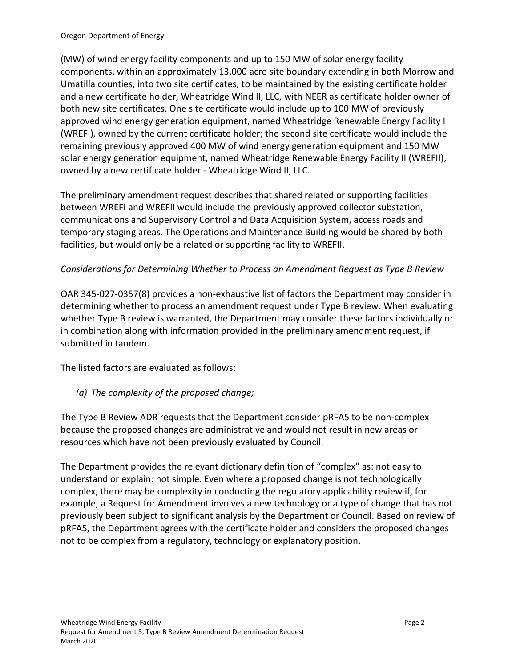(MW) of wind energy facility components and up to 150 MW of solar energy facility components, within an approximately 13,000 acre site boundary extending in both Morrow and Umatilla counties, into two site certificates, to be maintained by the existing certificate holder and a new certificate holder, Wheatridge Wind II, LLC, with NEER as certificate holder owner of both new site certificates. One site certificate would include up to 100 MW of previously approved wind energy generation equipment, named Wheatridge Renewable Energy Facility I (WREFI), owned by the current certificate holder; the second site certificate would include the remaining previously approved 400 MW of wind energy generation equipment and 150 MW solar energy generation equipment, named Wheatridge Renewable Energy Facility II (WREFII), owned by a new certificate holder - Wheatridge Wind II, LLC.

The preliminary amendment request describes that shared related or supporting facilities between WREFI and WREFII would include the previously approved collector substation, communications and Supervisory Control and Data Acquisition System, access roads and temporary staging areas. The Operations and Maintenance Building would be shared by both facilities, but would only be a related or supporting facility to WREFII.

### *Considerations for Determining Whether to Process an Amendment Request as Type B Review*

OAR 345-027-0357(8) provides a non-exhaustive list of factors the Department may consider in determining whether to process an amendment request under Type B review. When evaluating whether Type B review is warranted, the Department may consider these factors individually or in combination along with information provided in the preliminary amendment request, if submitted in tandem.

The listed factors are evaluated as follows:

## *(a) The complexity of the proposed change;*

The Type B Review ADR requests that the Department consider pRFA5 to be non-complex because the proposed changes are administrative and would not result in new areas or resources which have not been previously evaluated by Council.

The Department provides the relevant dictionary definition of "complex" as: not easy to understand or explain: not simple. Even where a proposed change is not technologically complex, there may be complexity in conducting the regulatory applicability review if, for example, a Request for Amendment involves a new technology or a type of change that has not previously been subject to significant analysis by the Department or Council. Based on review of pRFA5, the Department agrees with the certificate holder and considers the proposed changes not to be complex from a regulatory, technology or explanatory position.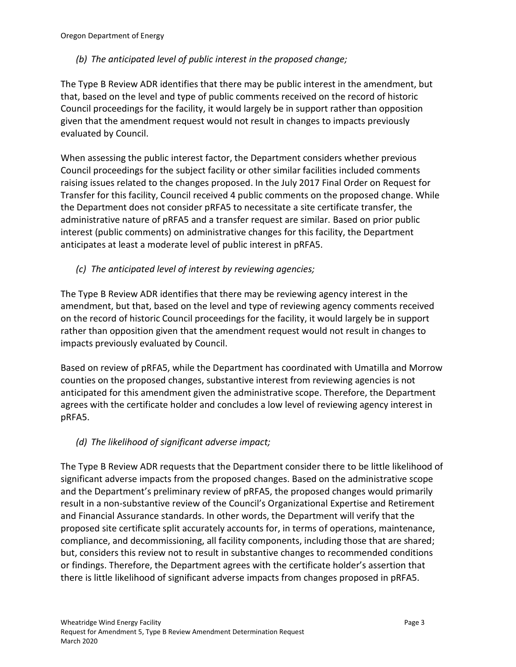# *(b) The anticipated level of public interest in the proposed change;*

The Type B Review ADR identifies that there may be public interest in the amendment, but that, based on the level and type of public comments received on the record of historic Council proceedings for the facility, it would largely be in support rather than opposition given that the amendment request would not result in changes to impacts previously evaluated by Council.

When assessing the public interest factor, the Department considers whether previous Council proceedings for the subject facility or other similar facilities included comments raising issues related to the changes proposed. In the July 2017 Final Order on Request for Transfer for this facility, Council received 4 public comments on the proposed change. While the Department does not consider pRFA5 to necessitate a site certificate transfer, the administrative nature of pRFA5 and a transfer request are similar. Based on prior public interest (public comments) on administrative changes for this facility, the Department anticipates at least a moderate level of public interest in pRFA5.

# *(c) The anticipated level of interest by reviewing agencies;*

The Type B Review ADR identifies that there may be reviewing agency interest in the amendment, but that, based on the level and type of reviewing agency comments received on the record of historic Council proceedings for the facility, it would largely be in support rather than opposition given that the amendment request would not result in changes to impacts previously evaluated by Council.

Based on review of pRFA5, while the Department has coordinated with Umatilla and Morrow counties on the proposed changes, substantive interest from reviewing agencies is not anticipated for this amendment given the administrative scope. Therefore, the Department agrees with the certificate holder and concludes a low level of reviewing agency interest in pRFA5.

## *(d) The likelihood of significant adverse impact;*

The Type B Review ADR requests that the Department consider there to be little likelihood of significant adverse impacts from the proposed changes. Based on the administrative scope and the Department's preliminary review of pRFA5, the proposed changes would primarily result in a non-substantive review of the Council's Organizational Expertise and Retirement and Financial Assurance standards. In other words, the Department will verify that the proposed site certificate split accurately accounts for, in terms of operations, maintenance, compliance, and decommissioning, all facility components, including those that are shared; but, considers this review not to result in substantive changes to recommended conditions or findings. Therefore, the Department agrees with the certificate holder's assertion that there is little likelihood of significant adverse impacts from changes proposed in pRFA5.